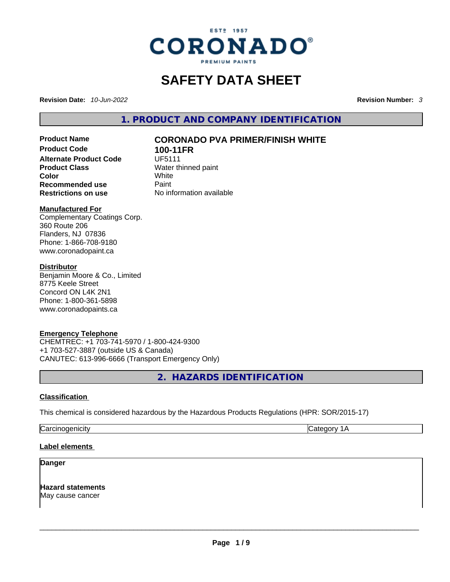

# **SAFETY DATA SHEET**

**Revision Date:** *10-Jun-2022* **Revision Number:** *3*

**1. PRODUCT AND COMPANY IDENTIFICATION** 

**Product Code 100-11FR Alternate Product Code UF5111 Product Class Water thinned paint**<br> **Color Color Color** White **Recommended use Faint Paint<br>
<b>Restrictions on use** Mo information available **Restrictions** on use

# **Product Name CORONADO PVA PRIMER/FINISH WHITE**

#### **Manufactured For**

Complementary Coatings Corp. 360 Route 206 Flanders, NJ 07836 Phone: 1-866-708-9180 www.coronadopaint.ca

## **Distributor**

Benjamin Moore & Co., Limited 8775 Keele Street Concord ON L4K 2N1 Phone: 1-800-361-5898 www.coronadopaints.ca

# **Emergency Telephone**

CHEMTREC: +1 703-741-5970 / 1-800-424-9300 +1 703-527-3887 (outside US & Canada) CANUTEC: 613-996-6666 (Transport Emergency Only)

**2. HAZARDS IDENTIFICATION** 

# **Classification**

This chemical is considered hazardous by the Hazardous Products Regulations (HPR: SOR/2015-17)

Carcinogenicity Category 1A

# **Label elements**

#### **Danger**

**Hazard statements** May cause cancer \_\_\_\_\_\_\_\_\_\_\_\_\_\_\_\_\_\_\_\_\_\_\_\_\_\_\_\_\_\_\_\_\_\_\_\_\_\_\_\_\_\_\_\_\_\_\_\_\_\_\_\_\_\_\_\_\_\_\_\_\_\_\_\_\_\_\_\_\_\_\_\_\_\_\_\_\_\_\_\_\_\_\_\_\_\_\_\_\_\_\_\_\_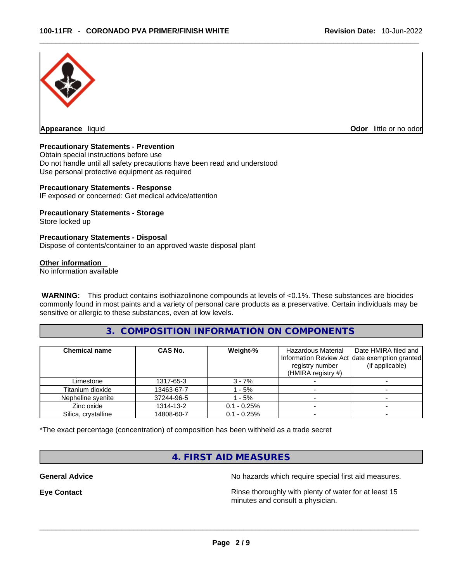

**Appearance** liquid

**Odor** little or no odor

## **Precautionary Statements - Prevention**

Obtain special instructions before use Do not handle until all safety precautions have been read and understood Use personal protective equipment as required

#### **Precautionary Statements - Response**

IF exposed or concerned: Get medical advice/attention

#### **Precautionary Statements - Storage**

Store locked up

#### **Precautionary Statements - Disposal**

Dispose of contents/container to an approved waste disposal plant

#### **Other information**

No information available

 **WARNING:** This product contains isothiazolinone compounds at levels of <0.1%. These substances are biocides commonly found in most paints and a variety of personal care products as a preservative. Certain individuals may be sensitive or allergic to these substances, even at low levels.

# **3. COMPOSITION INFORMATION ON COMPONENTS**

| <b>Chemical name</b> | <b>CAS No.</b> | Weight-%       | Hazardous Material<br>registry number<br>(HMIRA registry #) | Date HMIRA filed and<br>Information Review Act date exemption granted<br>(if applicable) |
|----------------------|----------------|----------------|-------------------------------------------------------------|------------------------------------------------------------------------------------------|
| Limestone            | 1317-65-3      | $3 - 7%$       |                                                             |                                                                                          |
| Titanium dioxide     | 13463-67-7     | - 5%           |                                                             |                                                                                          |
| Nepheline syenite    | 37244-96-5     | $-5%$          |                                                             |                                                                                          |
| Zinc oxide           | 1314-13-2      | $0.1 - 0.25\%$ |                                                             |                                                                                          |
| Silica, crystalline  | 14808-60-7     | $0.1 - 0.25\%$ |                                                             |                                                                                          |

\*The exact percentage (concentration) of composition has been withheld as a trade secret

# **4. FIRST AID MEASURES**

**General Advice No hazards which require special first aid measures.** No hazards which require special first aid measures.

**Eye Contact <b>Rinse** thoroughly with plenty of water for at least 15 minutes and consult a physician.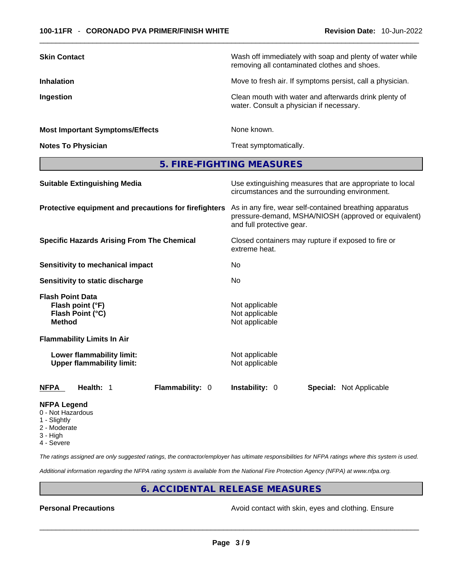| <b>Skin Contact</b>                    | Wash off immediately with soap and plenty of water while<br>removing all contaminated clothes and shoes. |
|----------------------------------------|----------------------------------------------------------------------------------------------------------|
| <b>Inhalation</b>                      | Move to fresh air. If symptoms persist, call a physician.                                                |
| Ingestion                              | Clean mouth with water and afterwards drink plenty of<br>water. Consult a physician if necessary.        |
| <b>Most Important Symptoms/Effects</b> | None known.                                                                                              |
| <b>Notes To Physician</b>              | Treat symptomatically.                                                                                   |

**5. FIRE-FIGHTING MEASURES** 

| <b>Suitable Extinguishing Media</b>                                              | Use extinguishing measures that are appropriate to local<br>circumstances and the surrounding environment.                                   |
|----------------------------------------------------------------------------------|----------------------------------------------------------------------------------------------------------------------------------------------|
| Protective equipment and precautions for firefighters                            | As in any fire, wear self-contained breathing apparatus<br>pressure-demand, MSHA/NIOSH (approved or equivalent)<br>and full protective gear. |
| <b>Specific Hazards Arising From The Chemical</b>                                | Closed containers may rupture if exposed to fire or<br>extreme heat.                                                                         |
| Sensitivity to mechanical impact                                                 | No                                                                                                                                           |
| Sensitivity to static discharge                                                  | No                                                                                                                                           |
| <b>Flash Point Data</b><br>Flash point (°F)<br>Flash Point (°C)<br><b>Method</b> | Not applicable<br>Not applicable<br>Not applicable                                                                                           |
| <b>Flammability Limits In Air</b>                                                |                                                                                                                                              |
| Lower flammability limit:<br><b>Upper flammability limit:</b>                    | Not applicable<br>Not applicable                                                                                                             |
| <b>NFPA</b><br>Health: 1<br>Flammability: 0                                      | <b>Instability: 0</b><br><b>Special: Not Applicable</b>                                                                                      |
|                                                                                  |                                                                                                                                              |

#### **NFPA Legend**

- 0 Not Hazardous
- 1 Slightly
- 2 Moderate
- 3 High
- 4 Severe

*The ratings assigned are only suggested ratings, the contractor/employer has ultimate responsibilities for NFPA ratings where this system is used.* 

*Additional information regarding the NFPA rating system is available from the National Fire Protection Agency (NFPA) at www.nfpa.org.* 

# **6. ACCIDENTAL RELEASE MEASURES**

**Personal Precautions Avoid contact with skin, eyes and clothing. Ensure Personal Precautions**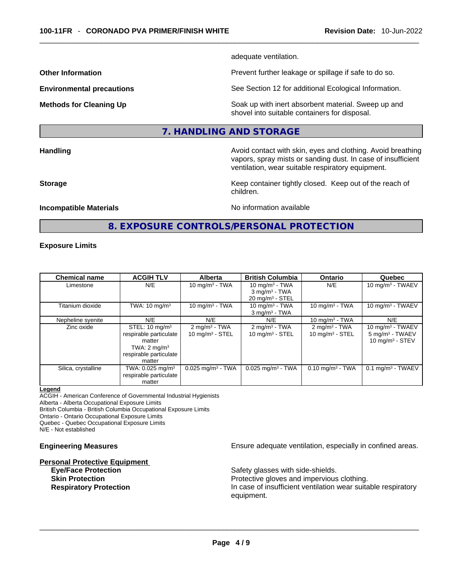adequate ventilation.

**Other Information Discription Prevent further leakage or spillage if safe to do so.** 

**Environmental precautions** See Section 12 for additional Ecological Information.

**Methods for Cleaning Up Example 20 Soak** up with inert absorbent material. Sweep up and shovel into suitable containers for disposal.

# **7. HANDLING AND STORAGE**

**Handling Handling Avoid contact with skin, eyes and clothing. Avoid breathing** vapors, spray mists or sanding dust. In case of insufficient ventilation, wear suitable respiratory equipment.

**Storage Keep container tightly closed. Keep out of the reach of Keep Keep container tightly closed. Keep out of the reach of** children.

#### **Incompatible Materials Incompatible Materials No information available**

# **8. EXPOSURE CONTROLS/PERSONAL PROTECTION**

#### **Exposure Limits**

| <b>Chemical name</b> | <b>ACGIH TLV</b>                                                                                                             | <b>Alberta</b>                                         | <b>British Columbia</b>                                                        | <b>Ontario</b>                                 | Quebec                                                                   |
|----------------------|------------------------------------------------------------------------------------------------------------------------------|--------------------------------------------------------|--------------------------------------------------------------------------------|------------------------------------------------|--------------------------------------------------------------------------|
| Limestone            | N/E                                                                                                                          | 10 mg/m $3$ - TWA                                      | 10 mg/m $3$ - TWA<br>$3$ mg/m <sup>3</sup> - TWA<br>$20 \text{ mg/m}^3$ - STEL | N/E                                            | 10 mg/m $3$ - TWAEV                                                      |
| Titanium dioxide     | TWA: $10 \text{ mg/m}^3$                                                                                                     | 10 mg/m $3$ - TWA                                      | 10 mg/m $3$ - TWA<br>$3$ mg/m <sup>3</sup> - TWA                               | 10 mg/m $3$ - TWA                              | 10 mg/m $3$ - TWAEV                                                      |
| Nepheline syenite    | N/E                                                                                                                          | N/E                                                    | N/E                                                                            | 10 mg/m $3$ - TWA                              | N/E                                                                      |
| Zinc oxide           | STEL: $10 \text{ mg/m}^3$<br>respirable particulate<br>matter<br>TWA: $2 \text{ mg/m}^3$<br>respirable particulate<br>matter | $2 \text{ mg/m}^3$ - TWA<br>$10 \text{ mg/m}^3$ - STEL | $2$ mg/m <sup>3</sup> - TWA<br>$10 \text{ mg/m}^3$ - STEL                      | $2 \text{ mg/m}^3$ - TWA<br>10 $mq/m^3$ - STEL | 10 mg/m $3$ - TWAEV<br>5 mg/m <sup>3</sup> - TWAEV<br>10 $mq/m^3$ - STEV |
| Silica, crystalline  | TWA: 0.025 mg/m <sup>3</sup><br>respirable particulate<br>matter                                                             | $0.025$ mg/m <sup>3</sup> - TWA                        | $0.025$ mg/m <sup>3</sup> - TWA                                                | $0.10$ mg/m <sup>3</sup> - TWA                 | $0.1$ mg/m <sup>3</sup> - TWAEV                                          |

#### **Legend**

ACGIH - American Conference of Governmental Industrial Hygienists

Alberta - Alberta Occupational Exposure Limits

British Columbia - British Columbia Occupational Exposure Limits

Ontario - Ontario Occupational Exposure Limits

Quebec - Quebec Occupational Exposure Limits

N/E - Not established

# **Personal Protective Equipment**

**Engineering Measures Ensure** Ensure adequate ventilation, especially in confined areas.

Safety glasses with side-shields.

**Skin Protection Protection Protective gloves and impervious clothing. Respiratory Protection In case of insufficient ventilation wear suitable respiratory** equipment. \_\_\_\_\_\_\_\_\_\_\_\_\_\_\_\_\_\_\_\_\_\_\_\_\_\_\_\_\_\_\_\_\_\_\_\_\_\_\_\_\_\_\_\_\_\_\_\_\_\_\_\_\_\_\_\_\_\_\_\_\_\_\_\_\_\_\_\_\_\_\_\_\_\_\_\_\_\_\_\_\_\_\_\_\_\_\_\_\_\_\_\_\_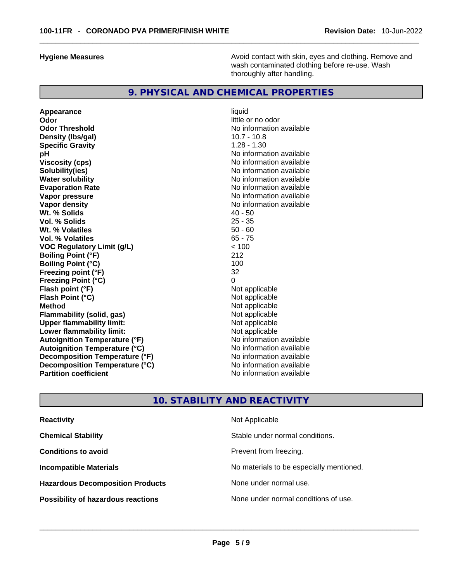**Hygiene Measures Avoid contact with skin, eyes and clothing. Remove and Avoid contact with skin, eyes and clothing. Remove and Avoid contact with skin, eyes and clothing. Remove and** wash contaminated clothing before re-use. Wash thoroughly after handling.

# **9. PHYSICAL AND CHEMICAL PROPERTIES**

**Appearance** liquid **Odor little or no odor Odor Threshold No information available Density (lbs/gal)** 10.7 - 10.8 **Specific Gravity** 1.28 - 1.30 **pH**<br>
Viscosity (cps) <br>
Viscosity (cps) <br>
Viscosity (cps) <br>
Viscosity (cps) <br>
Viscosity (cps) <br>
Viscosity (cps) <br>
Viscosity (cps) <br>
Viscosity (cps) <br>
Viscosity (cps) <br>
Viscosity (cps) <br>
Viscosity (cps) <br>
Viscosity (cps) <br> **Solubility(ies)**<br> **No information available**<br> **Water solubility**<br> **Water solubility Evaporation Rate No information available No information available Vapor pressure**  No information available **No information** available **Vapor density**<br> **We Solids**<br>
We Solids
2015<br>
2016<br>
2016<br>
2016<br>
2016<br>
2016<br>
2017 Wt. % Solids **Vol. % Solids** 25 - 35 **Wt. % Volatiles** 50 - 60 **Vol. % Volatiles VOC Regulatory Limit (g/L)**  $\left( \frac{1}{2} \right)$  < 100<br> **Roiling Point (°F)** 212 **Boiling Point (°F) Boiling Point (°C)** 100 **Freezing point (°F)** 32 **Freezing Point (°C) Flash point (°F)** Not applicable **Flash Point (°C)** Not applicable **Method** Not applicable **Flammability (solid, gas)** Not applicable **Upper flammability limit:**<br> **Lower flammability limit:** Not applicable Not applicable **Lower flammability limit: Autoignition Temperature (°F)**<br> **Autoignition Temperature (°C)** No information available **Autoignition Temperature (°C)**<br> **Decomposition Temperature (°F)** No information available **Decomposition Temperature (°F) Decomposition Temperature (°C)** No information available **Partition coefficient** No information available

**Viscosity (cps)** No information available **No information available** 

# **10. STABILITY AND REACTIVITY**

| <b>Reactivity</b>                         | Not Applicable                           |
|-------------------------------------------|------------------------------------------|
| <b>Chemical Stability</b>                 | Stable under normal conditions.          |
| <b>Conditions to avoid</b>                | Prevent from freezing.                   |
| <b>Incompatible Materials</b>             | No materials to be especially mentioned. |
| <b>Hazardous Decomposition Products</b>   | None under normal use.                   |
| <b>Possibility of hazardous reactions</b> | None under normal conditions of use.     |
|                                           |                                          |
|                                           |                                          |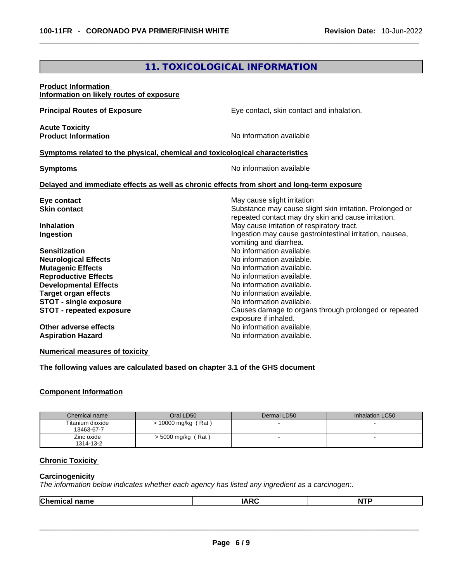# **11. TOXICOLOGICAL INFORMATION**

| <b>Product Information</b><br>Information on likely routes of exposure                                                                                                                                                                            |                                                                                                                                                                                                                                                                                          |
|---------------------------------------------------------------------------------------------------------------------------------------------------------------------------------------------------------------------------------------------------|------------------------------------------------------------------------------------------------------------------------------------------------------------------------------------------------------------------------------------------------------------------------------------------|
| <b>Principal Routes of Exposure</b>                                                                                                                                                                                                               | Eye contact, skin contact and inhalation.                                                                                                                                                                                                                                                |
| <b>Acute Toxicity</b><br><b>Product Information</b>                                                                                                                                                                                               | No information available                                                                                                                                                                                                                                                                 |
| Symptoms related to the physical, chemical and toxicological characteristics                                                                                                                                                                      |                                                                                                                                                                                                                                                                                          |
| <b>Symptoms</b>                                                                                                                                                                                                                                   | No information available                                                                                                                                                                                                                                                                 |
| Delayed and immediate effects as well as chronic effects from short and long-term exposure                                                                                                                                                        |                                                                                                                                                                                                                                                                                          |
| Eye contact<br><b>Skin contact</b>                                                                                                                                                                                                                | May cause slight irritation<br>Substance may cause slight skin irritation. Prolonged or<br>repeated contact may dry skin and cause irritation.                                                                                                                                           |
| <b>Inhalation</b><br>Ingestion                                                                                                                                                                                                                    | May cause irritation of respiratory tract.<br>Ingestion may cause gastrointestinal irritation, nausea,<br>vomiting and diarrhea.                                                                                                                                                         |
| <b>Sensitization</b><br><b>Neurological Effects</b><br><b>Mutagenic Effects</b><br><b>Reproductive Effects</b><br><b>Developmental Effects</b><br><b>Target organ effects</b><br><b>STOT - single exposure</b><br><b>STOT - repeated exposure</b> | No information available.<br>No information available.<br>No information available.<br>No information available.<br>No information available.<br>No information available.<br>No information available.<br>Causes damage to organs through prolonged or repeated<br>exposure if inhaled. |
| Other adverse effects<br><b>Aspiration Hazard</b>                                                                                                                                                                                                 | No information available.<br>No information available.                                                                                                                                                                                                                                   |

**Numerical measures of toxicity**

**The following values are calculated based on chapter 3.1 of the GHS document**

#### **Component Information**

| Chemical name                  | Oral LD50                  | Dermal LD50              | Inhalation LC50 |
|--------------------------------|----------------------------|--------------------------|-----------------|
| Titanium dioxide<br>13463-67-7 | (Rat)<br>$> 10000$ mg/kg ( |                          |                 |
| Zinc oxide<br>1314-13-2        | $>$ 5000 mg/kg (Rat)       | $\overline{\phantom{0}}$ | . .             |

# **Chronic Toxicity**

#### **Carcinogenicity**

*The information below indicates whether each agency has listed any ingredient as a carcinogen:.* 

|--|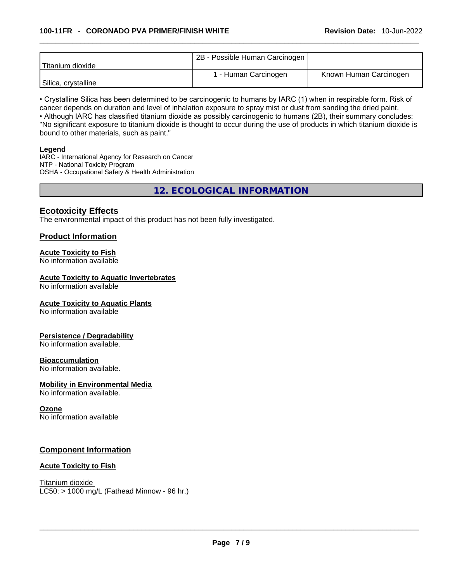|                     | 2B - Possible Human Carcinogen |                        |
|---------------------|--------------------------------|------------------------|
| l Titanium dioxide  |                                |                        |
|                     | 1 - Human Carcinogen           | Known Human Carcinogen |
| Silica, crystalline |                                |                        |

• Crystalline Silica has been determined to be carcinogenic to humans by IARC (1) when in respirable form. Risk of cancer depends on duration and level of inhalation exposure to spray mist or dust from sanding the dried paint.

• Although IARC has classified titanium dioxide as possibly carcinogenic to humans (2B), their summary concludes: "No significant exposure to titanium dioxide is thought to occur during the use of products in which titanium dioxide is bound to other materials, such as paint."

#### **Legend**

IARC - International Agency for Research on Cancer NTP - National Toxicity Program OSHA - Occupational Safety & Health Administration

**12. ECOLOGICAL INFORMATION** 

# **Ecotoxicity Effects**

The environmental impact of this product has not been fully investigated.

# **Product Information**

#### **Acute Toxicity to Fish**

No information available

#### **Acute Toxicity to Aquatic Invertebrates**

No information available

#### **Acute Toxicity to Aquatic Plants**

No information available

#### **Persistence / Degradability**

No information available.

#### **Bioaccumulation**

No information available.

#### **Mobility in Environmental Media**

No information available.

#### **Ozone**

No information available

# **Component Information**

#### **Acute Toxicity to Fish**

Titanium dioxide  $LC50:$  > 1000 mg/L (Fathead Minnow - 96 hr.)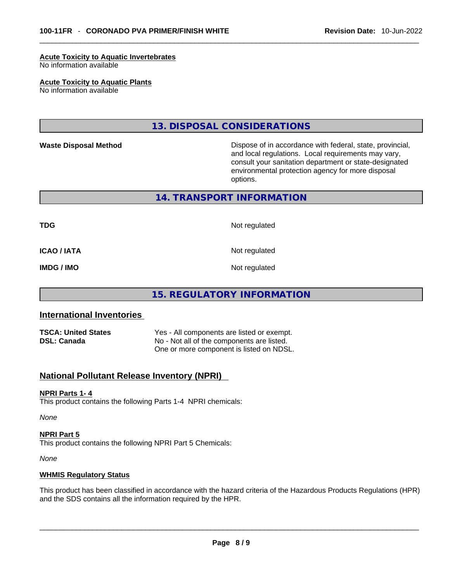#### **Acute Toxicity to Aquatic Invertebrates**

No information available

#### **Acute Toxicity to Aquatic Plants**

No information available

# **13. DISPOSAL CONSIDERATIONS**

Waste Disposal Method **Waste Disposal Method Dispose of in accordance with federal, state, provincial,** and local regulations. Local requirements may vary, consult your sanitation department or state-designated environmental protection agency for more disposal options.

# **14. TRANSPORT INFORMATION**

**TDG** Not regulated

**ICAO / IATA** Not regulated

**IMDG / IMO** Not regulated

# **15. REGULATORY INFORMATION**

# **International Inventories**

| <b>TSCA: United States</b> | Yes - All components are listed or exempt. |
|----------------------------|--------------------------------------------|
| <b>DSL: Canada</b>         | No - Not all of the components are listed. |
|                            | One or more component is listed on NDSL.   |

# **National Pollutant Release Inventory (NPRI)**

#### **NPRI Parts 1- 4**

This product contains the following Parts 1-4 NPRI chemicals:

*None*

#### **NPRI Part 5**

This product contains the following NPRI Part 5 Chemicals:

*None*

#### **WHMIS Regulatory Status**

This product has been classified in accordance with the hazard criteria of the Hazardous Products Regulations (HPR) and the SDS contains all the information required by the HPR. \_\_\_\_\_\_\_\_\_\_\_\_\_\_\_\_\_\_\_\_\_\_\_\_\_\_\_\_\_\_\_\_\_\_\_\_\_\_\_\_\_\_\_\_\_\_\_\_\_\_\_\_\_\_\_\_\_\_\_\_\_\_\_\_\_\_\_\_\_\_\_\_\_\_\_\_\_\_\_\_\_\_\_\_\_\_\_\_\_\_\_\_\_